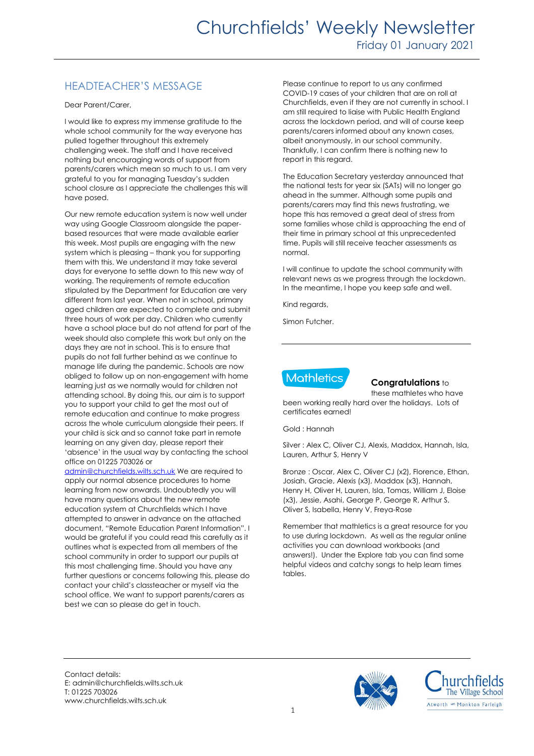# HEADTEACHER'S MESSAGE

Dear Parent/Carer,

I would like to express my immense gratitude to the whole school community for the way everyone has pulled together throughout this extremely challenging week. The staff and I have received nothing but encouraging words of support from parents/carers which mean so much to us. I am very grateful to you for managing Tuesday's sudden school closure as I appreciate the challenges this will have posed.

Our new remote education system is now well under way using Google Classroom alongside the paperbased resources that were made available earlier this week. Most pupils are engaging with the new system which is pleasing – thank you for supporting them with this. We understand it may take several days for everyone to settle down to this new way of working. The requirements of remote education stipulated by the Department for Education are very different from last year. When not in school, primary aged children are expected to complete and submit three hours of work per day. Children who currently have a school place but do not attend for part of the week should also complete this work but only on the days they are not in school. This is to ensure that pupils do not fall further behind as we continue to manage life during the pandemic. Schools are now obliged to follow up on non-engagement with home learning just as we normally would for children not attending school. By doing this, our aim is to support you to support your child to get the most out of remote education and continue to make progress across the whole curriculum alongside their peers. If your child is sick and so cannot take part in remote learning on any given day, please report their 'absence' in the usual way by contacting the school office on 01225 703026 or

[admin@churchfields.wilts.sch.uk](mailto:admin@churchfields.wilts.sch.uk) We are required to apply our normal absence procedures to home learning from now onwards. Undoubtedly you will have many questions about the new remote education system at Churchfields which I have attempted to answer in advance on the attached document, "Remote Education Parent Information". I would be grateful if you could read this carefully as it outlines what is expected from all members of the school community in order to support our pupils at this most challenging time. Should you have any further questions or concerns following this, please do contact your child's classteacher or myself via the school office. We want to support parents/carers as best we can so please do get in touch.

Please continue to report to us any confirmed COVID-19 cases of your children that are on roll at Churchfields, even if they are not currently in school. I am still required to liaise with Public Health England across the lockdown period, and will of course keep parents/carers informed about any known cases, albeit anonymously, in our school community. Thankfully, I can confirm there is nothing new to report in this regard.

The Education Secretary yesterday announced that the national tests for year six (SATs) will no longer go ahead in the summer. Although some pupils and parents/carers may find this news frustrating, we hope this has removed a great deal of stress from some families whose child is approaching the end of their time in primary school at this unprecedented time. Pupils will still receive teacher assessments as normal.

I will continue to update the school community with relevant news as we progress through the lockdown. In the meantime, I hope you keep safe and well.

Kind regards,

Simon Futcher.



### **Congratulations** to

these mathletes who have been working really hard over the holidays. Lots of certificates earned!

Gold : Hannah

Silver : Alex C, Oliver CJ, Alexis, Maddox, Hannah, Isla, Lauren, Arthur S, Henry V

Bronze : Oscar, Alex C, Oliver CJ (x2), Florence, Ethan, Josiah, Gracie, Alexis (x3), Maddox (x3), Hannah, Henry H, Oliver H, Lauren, Isla, Tomas, William J, Eloise (x3), Jessie, Asahi, George P, George R, Arthur S, Oliver S, Isabella, Henry V, Freya-Rose

Remember that mathletics is a great resource for you to use during lockdown. As well as the regular online activities you can download workbooks (and answers!). Under the Explore tab you can find some helpful videos and catchy songs to help learn times tables.

Contact details: E: admin@churchfields.wilts.sch.uk T: 01225 703026 www.churchfields.wilts.sch.uk



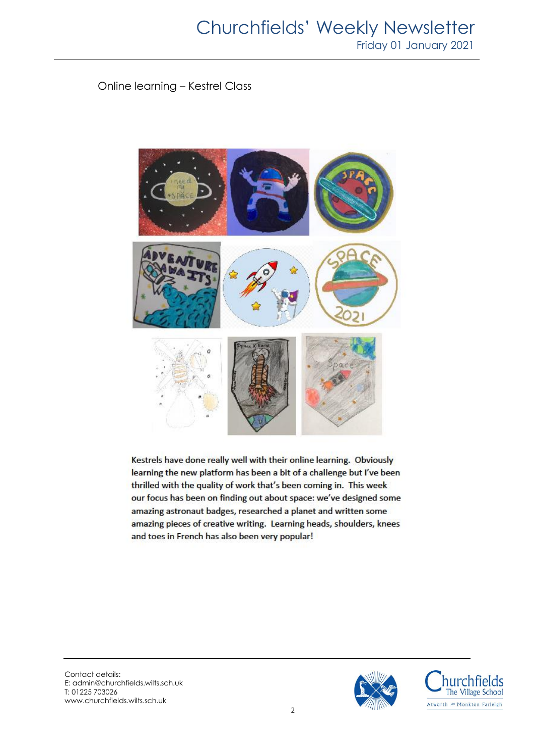Online learning – Kestrel Class



Kestrels have done really well with their online learning. Obviously learning the new platform has been a bit of a challenge but I've been thrilled with the quality of work that's been coming in. This week our focus has been on finding out about space: we've designed some amazing astronaut badges, researched a planet and written some amazing pieces of creative writing. Learning heads, shoulders, knees and toes in French has also been very popular!

Contact details: E: admin@churchfields.wilts.sch.uk T: 01225 703026 www.churchfields.wilts.sch.uk



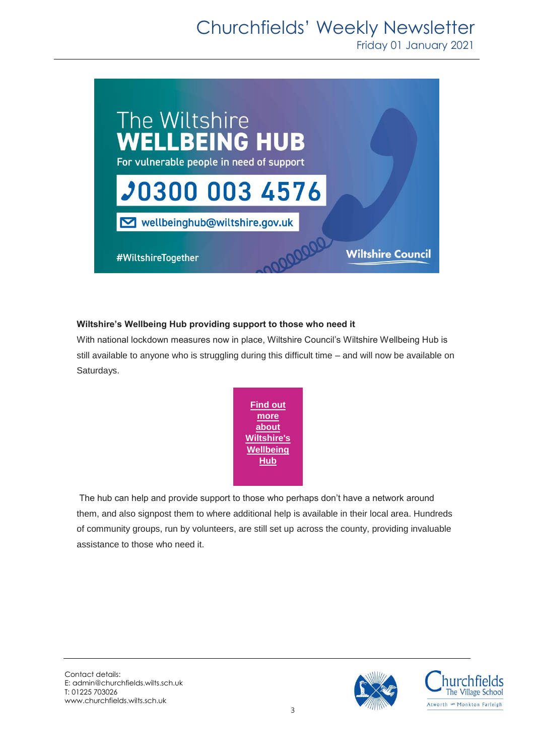# Churchfields' Weekly Newsletter

Friday 01 January 2021



## **Wiltshire's Wellbeing Hub providing support to those who need it**

With national lockdown measures now in place, Wiltshire Council's Wiltshire Wellbeing Hub is still available to anyone who is struggling during this difficult time – and will now be available on Saturdays.



The hub can help and provide support to those who perhaps don't have a network around them, and also signpost them to where additional help is available in their local area. Hundreds of community groups, run by volunteers, are still set up across the county, providing invaluable assistance to those who need it.